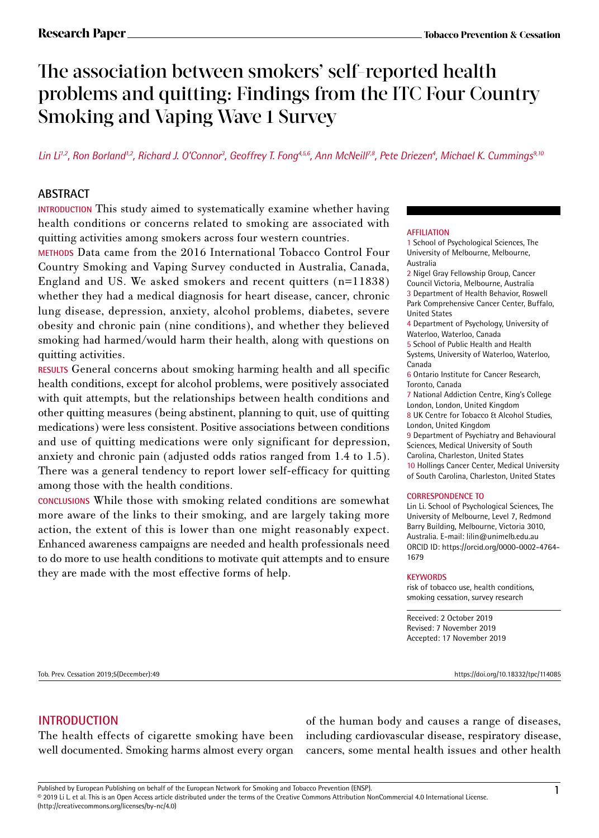# The association between smokers' self-reported health problems and quitting: Findings from the ITC Four Country Smoking and Vaping Wave 1 Survey

Lin Li<sup>1,2</sup>, Ron Borland<sup>1,2</sup>, Richard J. O'Connor<sup>3</sup>, Geoffrey T. Fong<sup>4,5,6</sup>, Ann McNeill<sup>7,8</sup>, Pete Driezen<sup>4</sup>, Michael K. Cummings<sup>9,10</sup>

## **ABSTRACT**

**INTRODUCTION** This study aimed to systematically examine whether having health conditions or concerns related to smoking are associated with quitting activities among smokers across four western countries.

**METHODS** Data came from the 2016 International Tobacco Control Four Country Smoking and Vaping Survey conducted in Australia, Canada, England and US. We asked smokers and recent quitters (n=11838) whether they had a medical diagnosis for heart disease, cancer, chronic lung disease, depression, anxiety, alcohol problems, diabetes, severe obesity and chronic pain (nine conditions), and whether they believed smoking had harmed/would harm their health, along with questions on quitting activities.

**RESULTS** General concerns about smoking harming health and all specific health conditions, except for alcohol problems, were positively associated with quit attempts, but the relationships between health conditions and other quitting measures (being abstinent, planning to quit, use of quitting medications) were less consistent. Positive associations between conditions and use of quitting medications were only significant for depression, anxiety and chronic pain (adjusted odds ratios ranged from 1.4 to 1.5). There was a general tendency to report lower self-efficacy for quitting among those with the health conditions.

**CONCLUSIONS** While those with smoking related conditions are somewhat more aware of the links to their smoking, and are largely taking more action, the extent of this is lower than one might reasonably expect. Enhanced awareness campaigns are needed and health professionals need to do more to use health conditions to motivate quit attempts and to ensure they are made with the most effective forms of help.

#### **AFFILIATION**

1 School of Psychological Sciences, The University of Melbourne, Melbourne, Australia

2 Nigel Gray Fellowship Group, Cancer Council Victoria, Melbourne, Australia 3 Department of Health Behavior, Roswell Park Comprehensive Cancer Center, Buffalo, United States

4 Department of Psychology, University of Waterloo, Waterloo, Canada

5 School of Public Health and Health Systems, University of Waterloo, Waterloo, Canada

6 Ontario Institute for Cancer Research, Toronto, Canada

7 National Addiction Centre, King's College London, London, United Kingdom

8 UK Centre for Tobacco & Alcohol Studies, London, United Kingdom

9 Department of Psychiatry and Behavioural Sciences, Medical University of South Carolina, Charleston, United States

10 Hollings Cancer Center, Medical University of South Carolina, Charleston, United States

#### **CORRESPONDENCE TO**

Lin Li. School of Psychological Sciences, The University of Melbourne, Level 7, Redmond Barry Building, Melbourne, Victoria 3010, Australia. E-mail: lilin@unimelb.edu.au ORCID ID: https://orcid.org/0000-0002-4764- 1679

#### **KEYWORDS**

risk of tobacco use, health conditions, smoking cessation, survey research

Received: 2 October 2019 Revised: 7 November 2019 Accepted: 17 November 2019

Tob. Prev. Cessation 2019;5(December):49 https://doi.org/10.18332/tpc/114085

#### **INTRODUCTION**

The health effects of cigarette smoking have been well documented. Smoking harms almost every organ of the human body and causes a range of diseases, including cardiovascular disease, respiratory disease, cancers, some mental health issues and other health

Published by European Publishing on behalf of the European Network for Smoking and Tobacco Prevention (ENSP).<br>© 2019 Li L. et al. This is an Open Access article distributed under the terms of the Creative Commons Attribut (http://creativecommons.org/licenses/by-nc/4.0)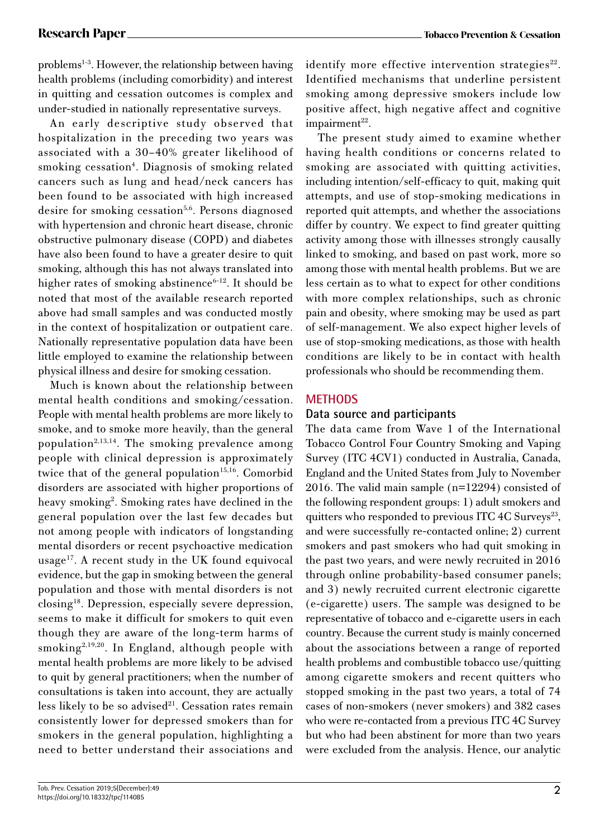problems<sup>1-3</sup>. However, the relationship between having health problems (including comorbidity) and interest in quitting and cessation outcomes is complex and under-studied in nationally representative surveys.

An early descriptive study observed that hospitalization in the preceding two years was associated with a 30–40% greater likelihood of smoking cessation<sup>4</sup>. Diagnosis of smoking related cancers such as lung and head/neck cancers has been found to be associated with high increased desire for smoking cessation<sup>5,6</sup>. Persons diagnosed with hypertension and chronic heart disease, chronic obstructive pulmonary disease (COPD) and diabetes have also been found to have a greater desire to quit smoking, although this has not always translated into higher rates of smoking abstinence $6-12$ . It should be noted that most of the available research reported above had small samples and was conducted mostly in the context of hospitalization or outpatient care. Nationally representative population data have been little employed to examine the relationship between physical illness and desire for smoking cessation.

Much is known about the relationship between mental health conditions and smoking/cessation. People with mental health problems are more likely to smoke, and to smoke more heavily, than the general population<sup>2,13,14</sup>. The smoking prevalence among people with clinical depression is approximately twice that of the general population<sup>15,16</sup>. Comorbid disorders are associated with higher proportions of heavy smoking<sup>2</sup>. Smoking rates have declined in the general population over the last few decades but not among people with indicators of longstanding mental disorders or recent psychoactive medication usage<sup>17</sup>. A recent study in the UK found equivocal evidence, but the gap in smoking between the general population and those with mental disorders is not closing18. Depression, especially severe depression, seems to make it difficult for smokers to quit even though they are aware of the long-term harms of smoking2,19,20. In England, although people with mental health problems are more likely to be advised to quit by general practitioners; when the number of consultations is taken into account, they are actually less likely to be so advised<sup>21</sup>. Cessation rates remain consistently lower for depressed smokers than for smokers in the general population, highlighting a need to better understand their associations and

identify more effective intervention strategies $^{22}$ . Identified mechanisms that underline persistent smoking among depressive smokers include low positive affect, high negative affect and cognitive  $impairment<sup>22</sup>$ .

The present study aimed to examine whether having health conditions or concerns related to smoking are associated with quitting activities, including intention/self-efficacy to quit, making quit attempts, and use of stop-smoking medications in reported quit attempts, and whether the associations differ by country. We expect to find greater quitting activity among those with illnesses strongly causally linked to smoking, and based on past work, more so among those with mental health problems. But we are less certain as to what to expect for other conditions with more complex relationships, such as chronic pain and obesity, where smoking may be used as part of self-management. We also expect higher levels of use of stop-smoking medications, as those with health conditions are likely to be in contact with health professionals who should be recommending them.

### **METHODS**

### **Data source and participants**

The data came from Wave 1 of the International Tobacco Control Four Country Smoking and Vaping Survey (ITC 4CV1) conducted in Australia, Canada, England and the United States from July to November 2016. The valid main sample (n=12294) consisted of the following respondent groups: 1) adult smokers and quitters who responded to previous ITC 4C Surveys<sup>23</sup>, and were successfully re-contacted online; 2) current smokers and past smokers who had quit smoking in the past two years, and were newly recruited in 2016 through online probability-based consumer panels; and 3) newly recruited current electronic cigarette (e-cigarette) users. The sample was designed to be representative of tobacco and e-cigarette users in each country. Because the current study is mainly concerned about the associations between a range of reported health problems and combustible tobacco use/quitting among cigarette smokers and recent quitters who stopped smoking in the past two years, a total of 74 cases of non-smokers (never smokers) and 382 cases who were re-contacted from a previous ITC 4C Survey but who had been abstinent for more than two years were excluded from the analysis. Hence, our analytic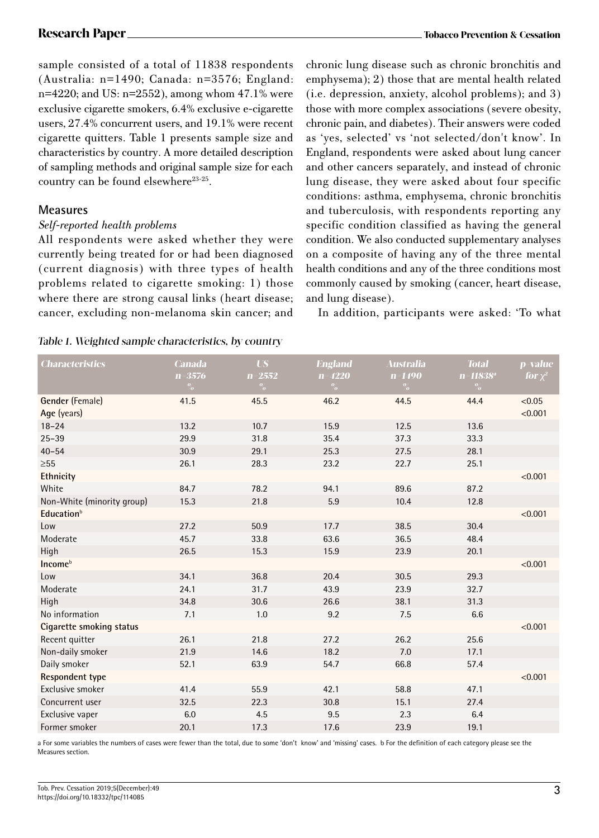sample consisted of a total of 11838 respondents (Australia: n=1490; Canada: n=3576; England: n=4220; and US: n=2552), among whom 47.1% were exclusive cigarette smokers, 6.4% exclusive e-cigarette users, 27.4% concurrent users, and 19.1% were recent cigarette quitters. Table 1 presents sample size and characteristics by country. A more detailed description of sampling methods and original sample size for each country can be found elsewhere<sup>23-25</sup>.

### **Measures**

#### *Self-reported health problems*

All respondents were asked whether they were currently being treated for or had been diagnosed (current diagnosis) with three types of health problems related to cigarette smoking: 1) those where there are strong causal links (heart disease; cancer, excluding non-melanoma skin cancer; and chronic lung disease such as chronic bronchitis and emphysema); 2) those that are mental health related (i.e. depression, anxiety, alcohol problems); and 3) those with more complex associations (severe obesity, chronic pain, and diabetes). Their answers were coded as 'yes, selected' vs 'not selected/don't know'. In England, respondents were asked about lung cancer and other cancers separately, and instead of chronic lung disease, they were asked about four specific conditions: asthma, emphysema, chronic bronchitis and tuberculosis, with respondents reporting any specific condition classified as having the general condition. We also conducted supplementary analyses on a composite of having any of the three mental health conditions and any of the three conditions most commonly caused by smoking (cancer, heart disease, and lung disease).

In addition, participants were asked: 'To what

|  |  |  | Table 1. Weighted sample characteristics, by country |  |  |
|--|--|--|------------------------------------------------------|--|--|
|--|--|--|------------------------------------------------------|--|--|

| <b>Characteristics</b>          | <b>Canada</b> | <b>US</b>     | <b>England</b> | Australia  | <b>Total</b>  | p-value      |
|---------------------------------|---------------|---------------|----------------|------------|---------------|--------------|
|                                 | $n = 3576$    | $n = 2552$    | $n = 4220$     | $n = 1490$ | $n = 11838^a$ | for $\chi^2$ |
|                                 | $\frac{0}{2}$ | $\frac{0}{2}$ | $\frac{0}{2}$  | $\%$       | $\frac{0}{2}$ |              |
| Gender (Female)                 | 41.5          | 45.5          | 46.2           | 44.5       | 44.4          | < 0.05       |
| Age (years)                     |               |               |                |            |               | < 0.001      |
| $18 - 24$                       | 13.2          | 10.7          | 15.9           | 12.5       | 13.6          |              |
| $25 - 39$                       | 29.9          | 31.8          | 35.4           | 37.3       | 33.3          |              |
| $40 - 54$                       | 30.9          | 29.1          | 25.3           | 27.5       | 28.1          |              |
| $\geq 55$                       | 26.1          | 28.3          | 23.2           | 22.7       | 25.1          |              |
| Ethnicity                       |               |               |                |            |               | < 0.001      |
| White                           | 84.7          | 78.2          | 94.1           | 89.6       | 87.2          |              |
| Non-White (minority group)      | 15.3          | 21.8          | 5.9            | 10.4       | 12.8          |              |
| <b>Education</b> <sup>b</sup>   |               |               |                |            |               | < 0.001      |
| Low                             | 27.2          | 50.9          | 17.7           | 38.5       | 30.4          |              |
| Moderate                        | 45.7          | 33.8          | 63.6           | 36.5       | 48.4          |              |
| High                            | 26.5          | 15.3          | 15.9           | 23.9       | 20.1          |              |
| Income <sup>b</sup>             |               |               |                |            |               | < 0.001      |
| Low                             | 34.1          | 36.8          | 20.4           | 30.5       | 29.3          |              |
| Moderate                        | 24.1          | 31.7          | 43.9           | 23.9       | 32.7          |              |
| High                            | 34.8          | 30.6          | 26.6           | 38.1       | 31.3          |              |
| No information                  | 7.1           | 1.0           | 9.2            | 7.5        | 6.6           |              |
| <b>Cigarette smoking status</b> |               |               |                |            |               | < 0.001      |
| Recent quitter                  | 26.1          | 21.8          | 27.2           | 26.2       | 25.6          |              |
| Non-daily smoker                | 21.9          | 14.6          | 18.2           | 7.0        | 17.1          |              |
| Daily smoker                    | 52.1          | 63.9          | 54.7           | 66.8       | 57.4          |              |
| <b>Respondent type</b>          |               |               |                |            |               | < 0.001      |
| Exclusive smoker                | 41.4          | 55.9          | 42.1           | 58.8       | 47.1          |              |
| Concurrent user                 | 32.5          | 22.3          | 30.8           | 15.1       | 27.4          |              |
| Exclusive vaper                 | 6.0           | 4.5           | 9.5            | 2.3        | 6.4           |              |
| Former smoker                   | 20.1          | 17.3          | 17.6           | 23.9       | 19.1          |              |

a For some variables the numbers of cases were fewer than the total, due to some 'don't know' and 'missing' cases. b For the definition of each category please see the Measures section.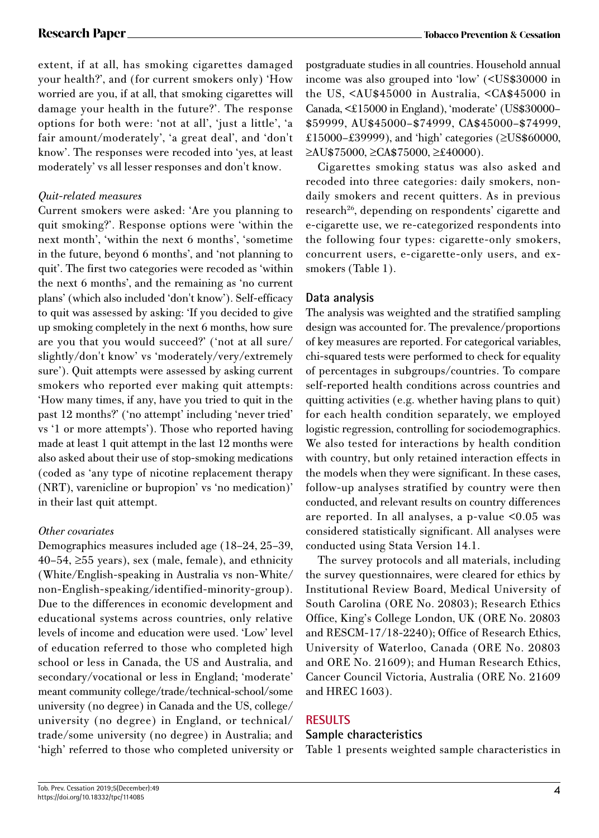extent, if at all, has smoking cigarettes damaged your health?', and (for current smokers only) 'How worried are you, if at all, that smoking cigarettes will damage your health in the future?'. The response options for both were: 'not at all', 'just a little', 'a fair amount/moderately', 'a great deal', and 'don't know'. The responses were recoded into 'yes, at least moderately' vs all lesser responses and don't know.

### *Quit-related measures*

Current smokers were asked: 'Are you planning to quit smoking?'. Response options were 'within the next month', 'within the next 6 months', 'sometime in the future, beyond 6 months', and 'not planning to quit'. The first two categories were recoded as 'within the next 6 months', and the remaining as 'no current plans' (which also included 'don't know'). Self-efficacy to quit was assessed by asking: 'If you decided to give up smoking completely in the next 6 months, how sure are you that you would succeed?' ('not at all sure/ slightly/don't know' vs 'moderately/very/extremely sure'). Quit attempts were assessed by asking current smokers who reported ever making quit attempts: 'How many times, if any, have you tried to quit in the past 12 months?' ('no attempt' including 'never tried' vs '1 or more attempts'). Those who reported having made at least 1 quit attempt in the last 12 months were also asked about their use of stop-smoking medications (coded as 'any type of nicotine replacement therapy (NRT), varenicline or bupropion' vs 'no medication)' in their last quit attempt.

### *Other covariates*

Demographics measures included age (18–24, 25–39,  $40-54$ ,  $\geq 55$  years), sex (male, female), and ethnicity (White/English-speaking in Australia vs non-White/ non-English-speaking/identified-minority-group). Due to the differences in economic development and educational systems across countries, only relative levels of income and education were used. 'Low' level of education referred to those who completed high school or less in Canada, the US and Australia, and secondary/vocational or less in England; 'moderate' meant community college/trade/technical-school/some university (no degree) in Canada and the US, college/ university (no degree) in England, or technical/ trade/some university (no degree) in Australia; and 'high' referred to those who completed university or postgraduate studies in all countries. Household annual income was also grouped into 'low' (<US\$30000 in the US, <AU\$45000 in Australia, <CA\$45000 in Canada, <£15000 in England), 'moderate' (US\$30000– \$59999, AU\$45000–\$74999, CA\$45000–\$74999, £15000–£39999), and 'high' categories (≥US\$60000, ≥AU\$75000, ≥CA\$75000, ≥£40000).

Cigarettes smoking status was also asked and recoded into three categories: daily smokers, nondaily smokers and recent quitters. As in previous research<sup>26</sup>, depending on respondents' cigarette and e-cigarette use, we re-categorized respondents into the following four types: cigarette-only smokers, concurrent users, e-cigarette-only users, and exsmokers (Table 1).

## **Data analysis**

The analysis was weighted and the stratified sampling design was accounted for. The prevalence/proportions of key measures are reported. For categorical variables, chi-squared tests were performed to check for equality of percentages in subgroups/countries. To compare self-reported health conditions across countries and quitting activities (e.g. whether having plans to quit) for each health condition separately, we employed logistic regression, controlling for sociodemographics. We also tested for interactions by health condition with country, but only retained interaction effects in the models when they were significant. In these cases, follow-up analyses stratified by country were then conducted, and relevant results on country differences are reported. In all analyses, a p-value <0.05 was considered statistically significant. All analyses were conducted using Stata Version 14.1.

The survey protocols and all materials, including the survey questionnaires, were cleared for ethics by Institutional Review Board, Medical University of South Carolina (ORE No. 20803); Research Ethics Office, King's College London, UK (ORE No. 20803 and RESCM-17/18-2240); Office of Research Ethics, University of Waterloo, Canada (ORE No. 20803 and ORE No. 21609); and Human Research Ethics, Cancer Council Victoria, Australia (ORE No. 21609 and HREC 1603).

## **RESULTS**

### **Sample characteristics**

Table 1 presents weighted sample characteristics in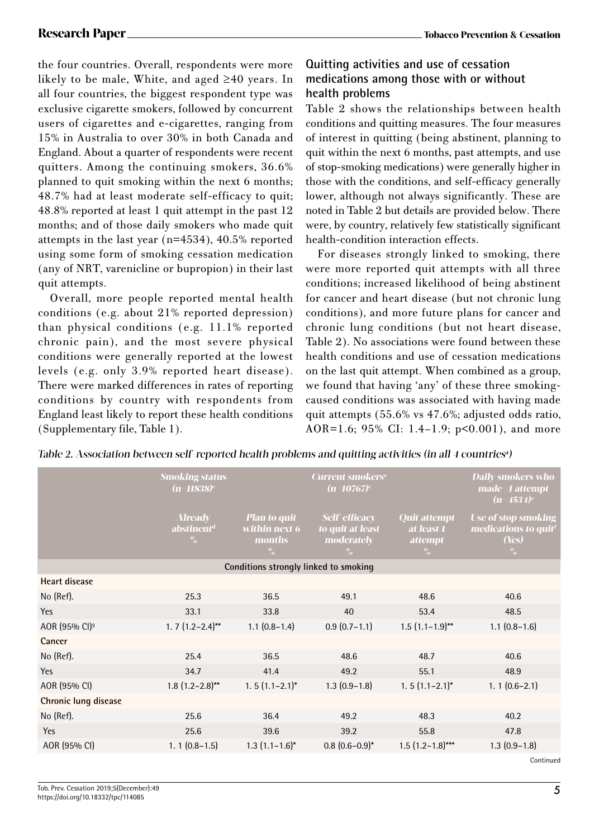the four countries. Overall, respondents were more likely to be male, White, and aged ≥40 years. In all four countries, the biggest respondent type was exclusive cigarette smokers, followed by concurrent users of cigarettes and e-cigarettes, ranging from 15% in Australia to over 30% in both Canada and England. About a quarter of respondents were recent quitters. Among the continuing smokers, 36.6% planned to quit smoking within the next 6 months; 48.7% had at least moderate self-efficacy to quit; 48.8% reported at least 1 quit attempt in the past 12 months; and of those daily smokers who made quit attempts in the last year (n=4534), 40.5% reported using some form of smoking cessation medication (any of NRT, varenicline or bupropion) in their last quit attempts.

Overall, more people reported mental health conditions (e.g. about 21% reported depression) than physical conditions (e.g. 11.1% reported chronic pain), and the most severe physical conditions were generally reported at the lowest levels (e.g. only 3.9% reported heart disease). There were marked differences in rates of reporting conditions by country with respondents from England least likely to report these health conditions (Supplementary file, Table 1).

## **Quitting activities and use of cessation medications among those with or without health problems**

Table 2 shows the relationships between health conditions and quitting measures. The four measures of interest in quitting (being abstinent, planning to quit within the next 6 months, past attempts, and use of stop-smoking medications) were generally higher in those with the conditions, and self-efficacy generally lower, although not always significantly. These are noted in Table 2 but details are provided below. There were, by country, relatively few statistically significant health-condition interaction effects.

For diseases strongly linked to smoking, there were more reported quit attempts with all three conditions; increased likelihood of being abstinent for cancer and heart disease (but not chronic lung conditions), and more future plans for cancer and chronic lung conditions (but not heart disease, Table 2). No associations were found between these health conditions and use of cessation medications on the last quit attempt. When combined as a group, we found that having 'any' of these three smokingcaused conditions was associated with having made quit attempts (55.6% vs 47.6%; adjusted odds ratio, AOR=1.6; 95% CI: 1.4–1.9; p<0.001), and more

| Table 2. Association between self-reported health problems and quitting activities (in all 4 countries <sup>a</sup> ) |  |
|-----------------------------------------------------------------------------------------------------------------------|--|
|-----------------------------------------------------------------------------------------------------------------------|--|

|                                       | <b>Smoking status</b><br>$(n=11838)^c$                    |                                                                        | <b>Current smokers<sup>e</sup></b><br>$(n=10767)^{c}$                   |                                                             | <b>Daily smokers who</b><br>made >1 attempt<br>$(n=4534)^c$                     |  |
|---------------------------------------|-----------------------------------------------------------|------------------------------------------------------------------------|-------------------------------------------------------------------------|-------------------------------------------------------------|---------------------------------------------------------------------------------|--|
|                                       | <b>Already</b><br>abstinent <sup>d</sup><br>$\frac{0}{2}$ | <b>Plan to quit</b><br>within next 6<br><i>months</i><br>$\frac{0}{2}$ | <b>Self-efficacy</b><br>to quit at least<br>moderately<br>$\frac{0}{2}$ | <b>Quit attempt</b><br>at least 1<br><i>attempt</i><br>$\%$ | <b>Use of stop smoking</b><br>medications to quit <sup>f</sup><br>(Yes)<br>$\%$ |  |
| Conditions strongly linked to smoking |                                                           |                                                                        |                                                                         |                                                             |                                                                                 |  |
| <b>Heart disease</b>                  |                                                           |                                                                        |                                                                         |                                                             |                                                                                 |  |
| No (Ref).                             | 25.3                                                      | 36.5                                                                   | 49.1                                                                    | 48.6                                                        | 40.6                                                                            |  |
| Yes                                   | 33.1                                                      | 33.8                                                                   | 40                                                                      | 53.4                                                        | 48.5                                                                            |  |
| AOR (95% CI) <sup>9</sup>             | $1.7(1.2-2.4)$ **                                         | $1.1$ $(0.8-1.4)$                                                      | $0.9(0.7-1.1)$                                                          | $1.5(1.1-1.9)$ **                                           | $1.1$ $(0.8-1.6)$                                                               |  |
| Cancer                                |                                                           |                                                                        |                                                                         |                                                             |                                                                                 |  |
| No (Ref).                             | 25.4                                                      | 36.5                                                                   | 48.6                                                                    | 48.7                                                        | 40.6                                                                            |  |
| Yes                                   | 34.7                                                      | 41.4                                                                   | 49.2                                                                    | 55.1                                                        | 48.9                                                                            |  |
| AOR (95% CI)                          | $1.8(1.2-2.8)$ **                                         | $1.5(1.1-2.1)^{*}$                                                     | $1.3(0.9-1.8)$                                                          | $1.5(1.1-2.1)^{*}$                                          | $1.1(0.6-2.1)$                                                                  |  |
| Chronic lung disease                  |                                                           |                                                                        |                                                                         |                                                             |                                                                                 |  |
| No (Ref).                             | 25.6                                                      | 36.4                                                                   | 49.2                                                                    | 48.3                                                        | 40.2                                                                            |  |
| Yes                                   | 25.6                                                      | 39.6                                                                   | 39.2                                                                    | 55.8                                                        | 47.8                                                                            |  |
| AOR (95% CI)                          | $1.1(0.8-1.5)$                                            | $1.3$ $(1.1-1.6)^{*}$                                                  | $0.8(0.6-0.9)^{*}$                                                      | $1.5(1.2-1.8)$ ***                                          | $1.3(0.9-1.8)$                                                                  |  |
|                                       |                                                           |                                                                        |                                                                         |                                                             | Continued                                                                       |  |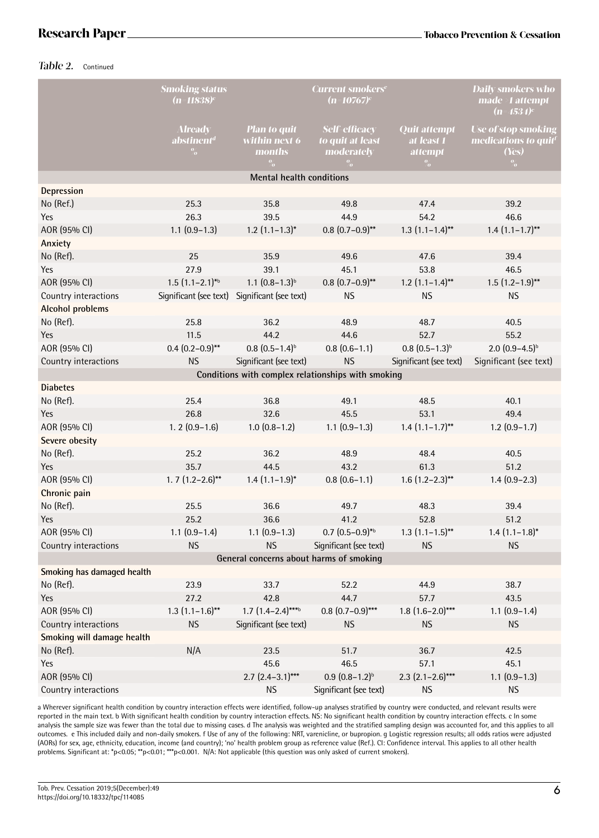#### Table 2. Continued

|                                                    | <b>Smoking status</b><br>(n=11838) $^{\rm c}$    |                                                        | <b>Current smokers<sup>e</sup></b><br>$(n=10767)^c$                     |                                                      | <b>Daily smokers who</b><br>$made \geq 1$ attempt<br>$(n=4534)^c$               |  |
|----------------------------------------------------|--------------------------------------------------|--------------------------------------------------------|-------------------------------------------------------------------------|------------------------------------------------------|---------------------------------------------------------------------------------|--|
|                                                    | <b>Already</b><br>abstinent <sup>d</sup><br>$\%$ | <b>Plan to quit</b><br>within next 6<br>months<br>$\%$ | <b>Self-efficacy</b><br>to quit at least<br>moderately<br>$\frac{0}{2}$ | <b>Quit attempt</b><br>at least 1<br>attempt<br>$\%$ | <b>Use of stop smoking</b><br>medications to quit <sup>1</sup><br>(Yes)<br>$\%$ |  |
|                                                    |                                                  | <b>Mental health conditions</b>                        |                                                                         |                                                      |                                                                                 |  |
| Depression                                         |                                                  |                                                        |                                                                         |                                                      |                                                                                 |  |
| No (Ref.)                                          | 25.3                                             | 35.8                                                   | 49.8                                                                    | 47.4                                                 | 39.2                                                                            |  |
| Yes                                                | 26.3                                             | 39.5                                                   | 44.9                                                                    | 54.2                                                 | 46.6                                                                            |  |
| AOR (95% CI)                                       | $1.1$ $(0.9-1.3)$                                | $1.2$ $(1.1-1.3)$ *                                    | $0.8$ $(0.7-0.9)$ **                                                    | $1.3$ $(1.1-1.4)$ **                                 | $1.4$ $(1.1-1.7)$ **                                                            |  |
| Anxiety                                            |                                                  |                                                        |                                                                         |                                                      |                                                                                 |  |
| No (Ref).                                          | 25                                               | 35.9                                                   | 49.6                                                                    | 47.6                                                 | 39.4                                                                            |  |
| <b>Yes</b>                                         | 27.9                                             | 39.1                                                   | 45.1                                                                    | 53.8                                                 | 46.5                                                                            |  |
| AOR (95% CI)                                       | $1.5(1.1-2.1)^{*6}$                              | $1.1$ $(0.8-1.3)^{b}$                                  | $0.8$ $(0.7-0.9)$ **                                                    | $1.2$ $(1.1-1.4)$ **                                 | $1.5(1.2-1.9)$ **                                                               |  |
| Country interactions                               | Significant (see text)                           | Significant (see text)                                 | <b>NS</b>                                                               | <b>NS</b>                                            | <b>NS</b>                                                                       |  |
| <b>Alcohol problems</b>                            |                                                  |                                                        |                                                                         |                                                      |                                                                                 |  |
| No (Ref).                                          | 25.8                                             | 36.2                                                   | 48.9                                                                    | 48.7                                                 | 40.5                                                                            |  |
| Yes                                                | 11.5                                             | 44.2                                                   | 44.6                                                                    | 52.7                                                 | 55.2                                                                            |  |
| AOR (95% CI)                                       | $0.4$ $(0.2-0.9)$ **                             | $0.8$ $(0.5-1.4)^{b}$                                  | $0.8(0.6-1.1)$                                                          | $0.8$ $(0.5-1.3)^{b}$                                | $2.0(0.9-4.5)^{b}$                                                              |  |
| Country interactions                               | <b>NS</b>                                        | Significant (see text)                                 | <b>NS</b>                                                               | Significant (see text)                               | Significant (see text)                                                          |  |
| Conditions with complex relationships with smoking |                                                  |                                                        |                                                                         |                                                      |                                                                                 |  |
| <b>Diabetes</b>                                    |                                                  |                                                        |                                                                         |                                                      |                                                                                 |  |
| No (Ref).                                          | 25.4                                             | 36.8                                                   | 49.1                                                                    | 48.5                                                 | 40.1                                                                            |  |
| Yes                                                | 26.8                                             | 32.6                                                   | 45.5                                                                    | 53.1                                                 | 49.4                                                                            |  |
| AOR (95% CI)                                       | $1.2(0.9-1.6)$                                   | $1.0(0.8-1.2)$                                         | $1.1$ $(0.9-1.3)$                                                       | $1.4(1.1-1.7)$ **                                    | $1.2(0.9-1.7)$                                                                  |  |
| Severe obesity                                     |                                                  |                                                        |                                                                         |                                                      |                                                                                 |  |
| No (Ref).                                          | 25.2                                             | 36.2                                                   | 48.9                                                                    | 48.4                                                 | 40.5                                                                            |  |
| <b>Yes</b>                                         | 35.7                                             | 44.5                                                   | 43.2                                                                    | 61.3                                                 | 51.2                                                                            |  |
| AOR (95% CI)                                       | $1.7(1.2-2.6)$ **                                | $1.4$ $(1.1-1.9)^*$                                    | $0.8(0.6-1.1)$                                                          | $1.6$ (1.2-2.3)**                                    | $1.4(0.9-2.3)$                                                                  |  |
| Chronic pain                                       |                                                  |                                                        |                                                                         |                                                      |                                                                                 |  |
| No (Ref).                                          | 25.5                                             | 36.6                                                   | 49.7                                                                    | 48.3                                                 | 39.4                                                                            |  |
| <b>Yes</b>                                         | 25.2                                             | 36.6                                                   | 41.2                                                                    | 52.8                                                 | 51.2                                                                            |  |
| AOR (95% CI)                                       | $1.1$ $(0.9-1.4)$                                | $1.1$ $(0.9-1.3)$                                      | $0.7$ $(0.5-0.9)$ <sup>*b</sup>                                         | $1.3$ $(1.1-1.5)$ **                                 | $1.4$ $(1.1-1.8)^{*}$                                                           |  |
| Country interactions                               | <b>NS</b>                                        | <b>NS</b>                                              | Significant (see text)                                                  | <b>NS</b>                                            | <b>NS</b>                                                                       |  |
| General concerns about harms of smoking            |                                                  |                                                        |                                                                         |                                                      |                                                                                 |  |
| Smoking has damaged health                         |                                                  |                                                        |                                                                         |                                                      |                                                                                 |  |
| No (Ref).                                          | 23.9                                             | 33.7                                                   | 52.2                                                                    | 44.9                                                 | 38.7                                                                            |  |
| Yes                                                | 27.2                                             | 42.8                                                   | 44.7                                                                    | 57.7                                                 | 43.5                                                                            |  |
| AOR (95% CI)                                       | $1.3(1.1-1.6)$ **                                | $1.7(1.4-2.4)***$                                      | $0.8$ $(0.7-0.9)$ ***                                                   | $1.8(1.6-2.0)$ ***                                   | $1.1(0.9-1.4)$                                                                  |  |
| Country interactions                               | <b>NS</b>                                        | Significant (see text)                                 | <b>NS</b>                                                               | <b>NS</b>                                            | <b>NS</b>                                                                       |  |
| Smoking will damage health                         |                                                  |                                                        |                                                                         |                                                      |                                                                                 |  |
| No (Ref).                                          | N/A                                              | 23.5                                                   | 51.7                                                                    | 36.7                                                 | 42.5                                                                            |  |
| Yes                                                |                                                  | 45.6                                                   | 46.5                                                                    | 57.1                                                 | 45.1                                                                            |  |
| AOR (95% CI)                                       |                                                  | $2.7$ $(2.4-3.1)***$<br><b>NS</b>                      | $0.9(0.8-1.2)^{b}$                                                      | $2.3$ (2.1-2.6)***                                   | $1.1(0.9-1.3)$                                                                  |  |
| Country interactions                               |                                                  |                                                        | Significant (see text)                                                  | <b>NS</b>                                            | <b>NS</b>                                                                       |  |

a Wherever significant health condition by country interaction effects were identified, follow-up analyses stratified by country were conducted, and relevant results were reported in the main text. b With significant health condition by country interaction effects. NS: No significant health condition by country interaction effects. c In some analysis the sample size was fewer than the total due to missing cases. d The analysis was weighted and the stratified sampling design was accounted for, and this applies to all outcomes. e This included daily and non-daily smokers. f Use of any of the following: NRT, varenicline, or bupropion. g Logistic regression results; all odds ratios were adjusted (AORs) for sex, age, ethnicity, education, income (and country); 'no' health problem group as reference value (Ref.). CI: Confidence interval. This applies to all other health problems. Significant at: \*p<0.05; \*\*p<0.01; \*\*\*p<0.001. N/A: Not applicable (this question was only asked of current smokers).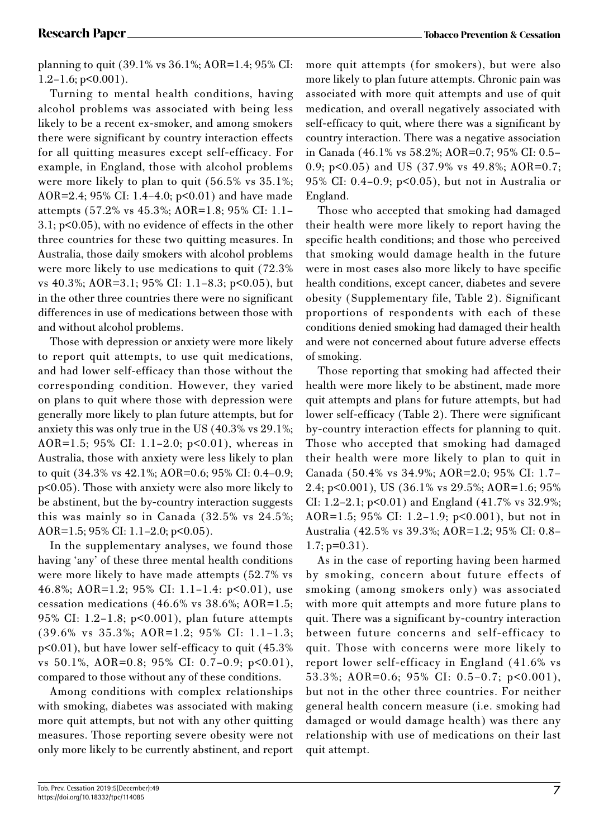planning to quit (39.1% vs 36.1%; AOR=1.4; 95% CI:  $1.2-1.6$ ; p $\leq 0.001$ ).

Turning to mental health conditions, having alcohol problems was associated with being less likely to be a recent ex-smoker, and among smokers there were significant by country interaction effects for all quitting measures except self-efficacy. For example, in England, those with alcohol problems were more likely to plan to quit (56.5% vs 35.1%; AOR=2.4; 95% CI: 1.4–4.0; p<0.01) and have made attempts (57.2% vs 45.3%; AOR=1.8; 95% CI: 1.1– 3.1; p<0.05), with no evidence of effects in the other three countries for these two quitting measures. In Australia, those daily smokers with alcohol problems were more likely to use medications to quit (72.3% vs 40.3%; AOR=3.1; 95% CI: 1.1–8.3; p<0.05), but in the other three countries there were no significant differences in use of medications between those with and without alcohol problems.

Those with depression or anxiety were more likely to report quit attempts, to use quit medications, and had lower self-efficacy than those without the corresponding condition. However, they varied on plans to quit where those with depression were generally more likely to plan future attempts, but for anxiety this was only true in the US (40.3% vs 29.1%; AOR=1.5; 95% CI: 1.1–2.0; p<0.01), whereas in Australia, those with anxiety were less likely to plan to quit (34.3% vs 42.1%; AOR=0.6; 95% CI: 0.4–0.9; p<0.05). Those with anxiety were also more likely to be abstinent, but the by-country interaction suggests this was mainly so in Canada (32.5% vs 24.5%; AOR=1.5; 95% CI: 1.1–2.0; p<0.05).

In the supplementary analyses, we found those having 'any' of these three mental health conditions were more likely to have made attempts (52.7% vs 46.8%; AOR=1.2; 95% CI: 1.1–1.4: p<0.01), use cessation medications (46.6% vs 38.6%; AOR=1.5; 95% CI: 1.2–1.8; p<0.001), plan future attempts (39.6% vs 35.3%; AOR=1.2; 95% CI: 1.1–1.3; p<0.01), but have lower self-efficacy to quit (45.3% vs 50.1%, AOR=0.8; 95% CI: 0.7–0.9; p<0.01), compared to those without any of these conditions.

Among conditions with complex relationships with smoking, diabetes was associated with making more quit attempts, but not with any other quitting measures. Those reporting severe obesity were not only more likely to be currently abstinent, and report more quit attempts (for smokers), but were also more likely to plan future attempts. Chronic pain was associated with more quit attempts and use of quit medication, and overall negatively associated with self-efficacy to quit, where there was a significant by country interaction. There was a negative association in Canada (46.1% vs 58.2%; AOR=0.7; 95% CI: 0.5– 0.9; p<0.05) and US (37.9% vs 49.8%; AOR=0.7; 95% CI: 0.4–0.9; p<0.05), but not in Australia or England.

Those who accepted that smoking had damaged their health were more likely to report having the specific health conditions; and those who perceived that smoking would damage health in the future were in most cases also more likely to have specific health conditions, except cancer, diabetes and severe obesity (Supplementary file, Table 2). Significant proportions of respondents with each of these conditions denied smoking had damaged their health and were not concerned about future adverse effects of smoking.

Those reporting that smoking had affected their health were more likely to be abstinent, made more quit attempts and plans for future attempts, but had lower self-efficacy (Table 2). There were significant by-country interaction effects for planning to quit. Those who accepted that smoking had damaged their health were more likely to plan to quit in Canada (50.4% vs 34.9%; AOR=2.0; 95% CI: 1.7– 2.4; p<0.001), US (36.1% vs 29.5%; AOR=1.6; 95% CI: 1.2–2.1;  $p<0.01$ ) and England (41.7% vs 32.9%; AOR=1.5; 95% CI: 1.2–1.9; p<0.001), but not in Australia (42.5% vs 39.3%; AOR=1.2; 95% CI: 0.8–  $1.7$ ;  $p=0.31$ ).

As in the case of reporting having been harmed by smoking, concern about future effects of smoking (among smokers only) was associated with more quit attempts and more future plans to quit. There was a significant by-country interaction between future concerns and self-efficacy to quit. Those with concerns were more likely to report lower self-efficacy in England (41.6% vs 53.3%; AOR=0.6; 95% CI: 0.5–0.7; p<0.001), but not in the other three countries. For neither general health concern measure (i.e. smoking had damaged or would damage health) was there any relationship with use of medications on their last quit attempt.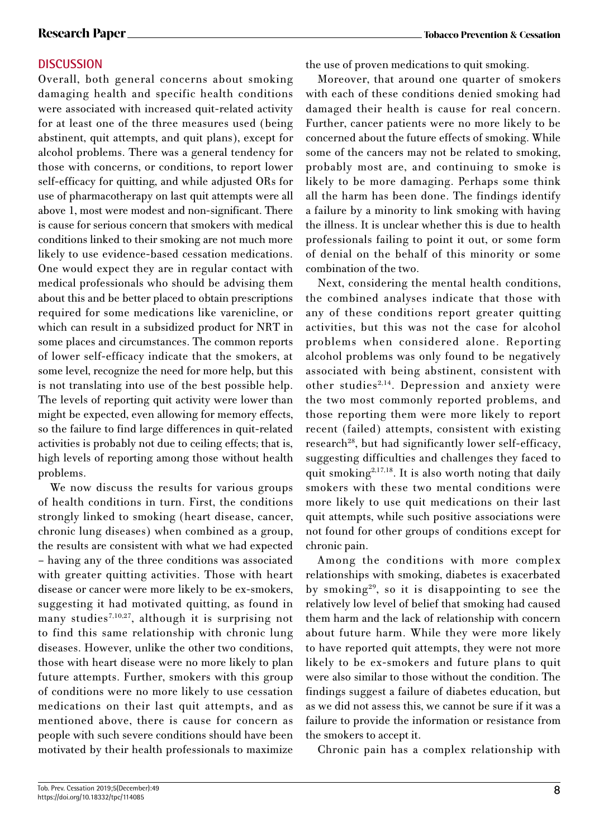## **DISCUSSION**

Overall, both general concerns about smoking damaging health and specific health conditions were associated with increased quit-related activity for at least one of the three measures used (being abstinent, quit attempts, and quit plans), except for alcohol problems. There was a general tendency for those with concerns, or conditions, to report lower self-efficacy for quitting, and while adjusted ORs for use of pharmacotherapy on last quit attempts were all above 1, most were modest and non-significant. There is cause for serious concern that smokers with medical conditions linked to their smoking are not much more likely to use evidence-based cessation medications. One would expect they are in regular contact with medical professionals who should be advising them about this and be better placed to obtain prescriptions required for some medications like varenicline, or which can result in a subsidized product for NRT in some places and circumstances. The common reports of lower self-efficacy indicate that the smokers, at some level, recognize the need for more help, but this is not translating into use of the best possible help. The levels of reporting quit activity were lower than might be expected, even allowing for memory effects, so the failure to find large differences in quit-related activities is probably not due to ceiling effects; that is, high levels of reporting among those without health problems.

We now discuss the results for various groups of health conditions in turn. First, the conditions strongly linked to smoking (heart disease, cancer, chronic lung diseases) when combined as a group, the results are consistent with what we had expected – having any of the three conditions was associated with greater quitting activities. Those with heart disease or cancer were more likely to be ex-smokers, suggesting it had motivated quitting, as found in many studies<sup>7,10,27</sup>, although it is surprising not to find this same relationship with chronic lung diseases. However, unlike the other two conditions, those with heart disease were no more likely to plan future attempts. Further, smokers with this group of conditions were no more likely to use cessation medications on their last quit attempts, and as mentioned above, there is cause for concern as people with such severe conditions should have been motivated by their health professionals to maximize

the use of proven medications to quit smoking.

Moreover, that around one quarter of smokers with each of these conditions denied smoking had damaged their health is cause for real concern. Further, cancer patients were no more likely to be concerned about the future effects of smoking. While some of the cancers may not be related to smoking, probably most are, and continuing to smoke is likely to be more damaging. Perhaps some think all the harm has been done. The findings identify a failure by a minority to link smoking with having the illness. It is unclear whether this is due to health professionals failing to point it out, or some form of denial on the behalf of this minority or some combination of the two.

Next, considering the mental health conditions, the combined analyses indicate that those with any of these conditions report greater quitting activities, but this was not the case for alcohol problems when considered alone. Reporting alcohol problems was only found to be negatively associated with being abstinent, consistent with other studies<sup>2,14</sup>. Depression and anxiety were the two most commonly reported problems, and those reporting them were more likely to report recent (failed) attempts, consistent with existing research<sup>28</sup>, but had significantly lower self-efficacy, suggesting difficulties and challenges they faced to quit smoking<sup>2,17,18</sup>. It is also worth noting that daily smokers with these two mental conditions were more likely to use quit medications on their last quit attempts, while such positive associations were not found for other groups of conditions except for chronic pain.

Among the conditions with more complex relationships with smoking, diabetes is exacerbated by smoking29, so it is disappointing to see the relatively low level of belief that smoking had caused them harm and the lack of relationship with concern about future harm. While they were more likely to have reported quit attempts, they were not more likely to be ex-smokers and future plans to quit were also similar to those without the condition. The findings suggest a failure of diabetes education, but as we did not assess this, we cannot be sure if it was a failure to provide the information or resistance from the smokers to accept it.

Chronic pain has a complex relationship with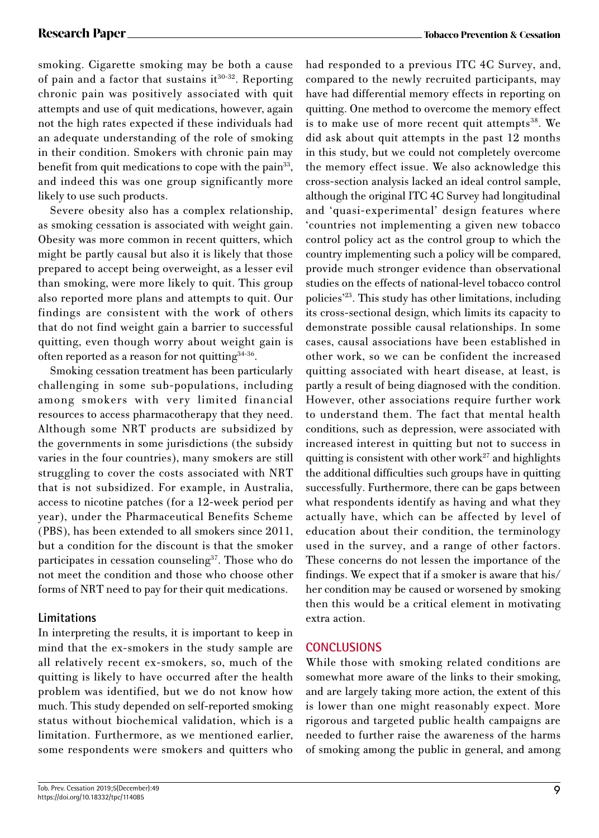smoking. Cigarette smoking may be both a cause of pain and a factor that sustains  $it^{30-32}$ . Reporting chronic pain was positively associated with quit attempts and use of quit medications, however, again not the high rates expected if these individuals had an adequate understanding of the role of smoking in their condition. Smokers with chronic pain may benefit from quit medications to cope with the pain<sup>33</sup>, and indeed this was one group significantly more likely to use such products.

Severe obesity also has a complex relationship, as smoking cessation is associated with weight gain. Obesity was more common in recent quitters, which might be partly causal but also it is likely that those prepared to accept being overweight, as a lesser evil than smoking, were more likely to quit. This group also reported more plans and attempts to quit. Our findings are consistent with the work of others that do not find weight gain a barrier to successful quitting, even though worry about weight gain is often reported as a reason for not quitting<sup>34-36</sup>.

Smoking cessation treatment has been particularly challenging in some sub-populations, including among smokers with very limited financial resources to access pharmacotherapy that they need. Although some NRT products are subsidized by the governments in some jurisdictions (the subsidy varies in the four countries), many smokers are still struggling to cover the costs associated with NRT that is not subsidized. For example, in Australia, access to nicotine patches (for a 12-week period per year), under the Pharmaceutical Benefits Scheme (PBS), has been extended to all smokers since 2011, but a condition for the discount is that the smoker participates in cessation counseling<sup>37</sup>. Those who do not meet the condition and those who choose other forms of NRT need to pay for their quit medications.

## **Limitations**

In interpreting the results, it is important to keep in mind that the ex-smokers in the study sample are all relatively recent ex-smokers, so, much of the quitting is likely to have occurred after the health problem was identified, but we do not know how much. This study depended on self-reported smoking status without biochemical validation, which is a limitation. Furthermore, as we mentioned earlier, some respondents were smokers and quitters who

had responded to a previous ITC 4C Survey, and, compared to the newly recruited participants, may have had differential memory effects in reporting on quitting. One method to overcome the memory effect is to make use of more recent quit attempts $38$ . We did ask about quit attempts in the past 12 months in this study, but we could not completely overcome the memory effect issue. We also acknowledge this cross-section analysis lacked an ideal control sample, although the original ITC 4C Survey had longitudinal and 'quasi-experimental' design features where 'countries not implementing a given new tobacco control policy act as the control group to which the country implementing such a policy will be compared, provide much stronger evidence than observational studies on the effects of national-level tobacco control policies'23. This study has other limitations, including its cross-sectional design, which limits its capacity to demonstrate possible causal relationships. In some cases, causal associations have been established in other work, so we can be confident the increased quitting associated with heart disease, at least, is partly a result of being diagnosed with the condition. However, other associations require further work to understand them. The fact that mental health conditions, such as depression, were associated with increased interest in quitting but not to success in quitting is consistent with other work $27$  and highlights the additional difficulties such groups have in quitting successfully. Furthermore, there can be gaps between what respondents identify as having and what they actually have, which can be affected by level of education about their condition, the terminology used in the survey, and a range of other factors. These concerns do not lessen the importance of the findings. We expect that if a smoker is aware that his/ her condition may be caused or worsened by smoking then this would be a critical element in motivating extra action.

## **CONCLUSIONS**

While those with smoking related conditions are somewhat more aware of the links to their smoking, and are largely taking more action, the extent of this is lower than one might reasonably expect. More rigorous and targeted public health campaigns are needed to further raise the awareness of the harms of smoking among the public in general, and among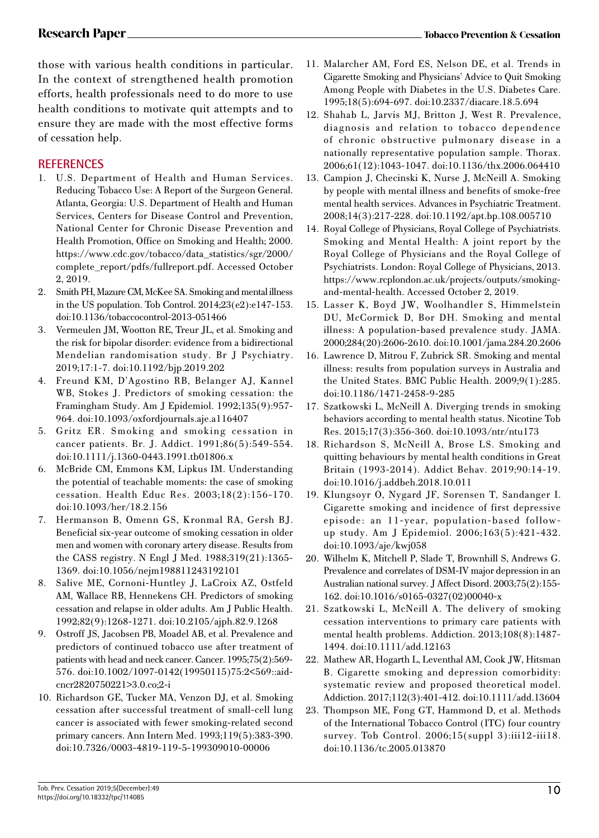those with various health conditions in particular. In the context of strengthened health promotion efforts, health professionals need to do more to use health conditions to motivate quit attempts and to ensure they are made with the most effective forms of cessation help.

## **REFERENCES**

- 1. U.S. Department of Health and Human Services. Reducing Tobacco Use: A Report of the Surgeon General. Atlanta, Georgia: U.S. Department of Health and Human Services, Centers for Disease Control and Prevention, National Center for Chronic Disease Prevention and Health Promotion, Office on Smoking and Health; 2000. https://www.cdc.gov/tobacco/data\_statistics/sgr/2000/ complete\_report/pdfs/fullreport.pdf. Accessed October 2, 2019.
- 2. Smith PH, Mazure CM, McKee SA. Smoking and mental illness in the US population. Tob Control. 2014;23(e2):e147-153. doi:10.1136/tobaccocontrol-2013-051466
- 3. Vermeulen JM, Wootton RE, Treur JL, et al. Smoking and the risk for bipolar disorder: evidence from a bidirectional Mendelian randomisation study. Br J Psychiatry. 2019;17:1-7. doi:10.1192/bjp.2019.202
- 4. Freund KM, D'Agostino RB, Belanger AJ, Kannel WB, Stokes J. Predictors of smoking cessation: the Framingham Study. Am J Epidemiol. 1992;135(9):957- 964. doi:10.1093/oxfordjournals.aje.a116407
- 5. Gritz ER. Smoking and smoking cessation in cancer patients. Br. J. Addict. 1991;86(5):549-554. doi:10.1111/j.1360-0443.1991.tb01806.x
- 6. McBride CM, Emmons KM, Lipkus IM. Understanding the potential of teachable moments: the case of smoking cessation. Health Educ Res. 2003;18(2):156-170. doi:10.1093/her/18.2.156
- 7. Hermanson B, Omenn GS, Kronmal RA, Gersh BJ. Beneficial six-year outcome of smoking cessation in older men and women with coronary artery disease. Results from the CASS registry. N Engl J Med. 1988;319(21):1365- 1369. doi:10.1056/nejm198811243192101
- 8. Salive ME, Cornoni-Huntley J, LaCroix AZ, Ostfeld AM, Wallace RB, Hennekens CH. Predictors of smoking cessation and relapse in older adults. Am J Public Health. 1992;82(9):1268-1271. doi:10.2105/ajph.82.9.1268
- 9. Ostroff JS, Jacobsen PB, Moadel AB, et al. Prevalence and predictors of continued tobacco use after treatment of patients with head and neck cancer. Cancer. 1995;75(2):569- 576. doi:10.1002/1097-0142(19950115)75:2<569::aidcncr2820750221>3.0.co;2-i
- 10. Richardson GE, Tucker MA, Venzon DJ, et al. Smoking cessation after successful treatment of small-cell lung cancer is associated with fewer smoking-related second primary cancers. Ann Intern Med. 1993;119(5):383-390. doi:10.7326/0003-4819-119-5-199309010-00006
- 11. Malarcher AM, Ford ES, Nelson DE, et al. Trends in Cigarette Smoking and Physicians' Advice to Quit Smoking Among People with Diabetes in the U.S. Diabetes Care. 1995;18(5):694-697. doi:10.2337/diacare.18.5.694
- 12. Shahab L, Jarvis MJ, Britton J, West R. Prevalence, diagnosis and relation to tobacco dependence of chronic obstructive pulmonary disease in a nationally representative population sample. Thorax. 2006;61(12):1043-1047. doi:10.1136/thx.2006.064410
- 13. Campion J, Checinski K, Nurse J, McNeill A. Smoking by people with mental illness and benefits of smoke-free mental health services. Advances in Psychiatric Treatment. 2008;14(3):217-228. doi:10.1192/apt.bp.108.005710
- 14. Royal College of Physicians, Royal College of Psychiatrists. Smoking and Mental Health: A joint report by the Royal College of Physicians and the Royal College of Psychiatrists. London: Royal College of Physicians, 2013. https://www.rcplondon.ac.uk/projects/outputs/smokingand-mental-health. Accessed October 2, 2019.
- 15. Lasser K, Boyd JW, Woolhandler S, Himmelstein DU, McCormick D, Bor DH. Smoking and mental illness: A population-based prevalence study. JAMA. 2000;284(20):2606-2610. doi:10.1001/jama.284.20.2606
- 16. Lawrence D, Mitrou F, Zubrick SR. Smoking and mental illness: results from population surveys in Australia and the United States. BMC Public Health. 2009;9(1):285. doi:10.1186/1471-2458-9-285
- 17. Szatkowski L, McNeill A. Diverging trends in smoking behaviors according to mental health status. Nicotine Tob Res. 2015;17(3):356-360. doi:10.1093/ntr/ntu173
- 18. Richardson S, McNeill A, Brose LS. Smoking and quitting behaviours by mental health conditions in Great Britain (1993-2014). Addict Behav. 2019;90:14-19. doi:10.1016/j.addbeh.2018.10.011
- 19. Klungsoyr O, Nygard JF, Sorensen T, Sandanger I. Cigarette smoking and incidence of first depressive episode: an 11-year, population-based followup study. Am J Epidemiol. 2006;163(5):421-432. doi:10.1093/aje/kwj058
- 20. Wilhelm K, Mitchell P, Slade T, Brownhill S, Andrews G. Prevalence and correlates of DSM-IV major depression in an Australian national survey. J Affect Disord. 2003;75(2):155- 162. doi:10.1016/s0165-0327(02)00040-x
- 21. Szatkowski L, McNeill A. The delivery of smoking cessation interventions to primary care patients with mental health problems. Addiction. 2013;108(8):1487- 1494. doi:10.1111/add.12163
- 22. Mathew AR, Hogarth L, Leventhal AM, Cook JW, Hitsman B. Cigarette smoking and depression comorbidity: systematic review and proposed theoretical model. Addiction. 2017;112(3):401-412. doi:10.1111/add.13604
- 23. Thompson ME, Fong GT, Hammond D, et al. Methods of the International Tobacco Control (ITC) four country survey. Tob Control. 2006;15(suppl 3):iii12-iii18. doi:10.1136/tc.2005.013870